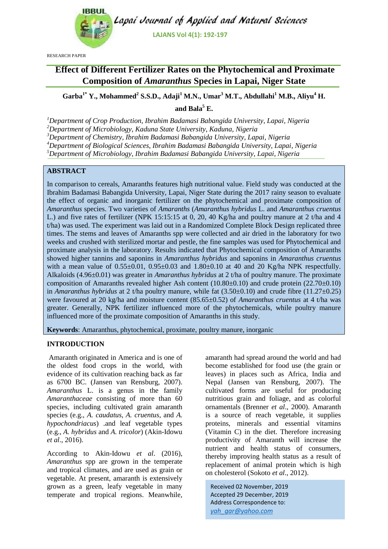

RESEARCH PAPER

# **Effect of Different Fertilizer Rates on the Phytochemical and Proximate Composition of** *Amaranthus* **Species in Lapai, Niger State**

**Garba1\* Y., Mohammed<sup>2</sup> S.S.D., Adaji<sup>1</sup> M.N., Umar<sup>3</sup> M.T., Abdullahi<sup>1</sup> M.B., Aliyu<sup>4</sup> H.** 

and  $\text{Bala}^5$  **E.** 

*Department of Crop Production, Ibrahim Badamasi Babangida University, Lapai, Nigeria Department of Microbiology, Kaduna State University, Kaduna, Nigeria Department of Chemistry, Ibrahim Badamasi Babangida University, Lapai, Nigeria Department of Biological Sciences, Ibrahim Badamasi Babangida University, Lapai, Nigeria Department of Microbiology, Ibrahim Badamasi Babangida University, Lapai, Nigeria*

# **ABSTRACT**

In comparison to cereals, Amaranths features high nutritional value. Field study was conducted at the Ibrahim Badamasi Babangida University, Lapai, Niger State during the 2017 rainy season to evaluate the effect of organic and inorganic fertilizer on the phytochemical and proximate composition of *Amaranthus* species. Two varieties of *Amaranths* (*Amaranthus hybridus* L. and *Amaranthus cruentus* L.) and five rates of fertilizer (NPK 15:15:15 at 0, 20, 40 Kg/ha and poultry manure at 2 t/ha and 4 t/ha) was used. The experiment was laid out in a Randomized Complete Block Design replicated three times. The stems and leaves of Amaranths spp were collected and air dried in the laboratory for two weeks and crushed with sterilized mortar and pestle, the fine samples was used for Phytochemical and proximate analysis in the laboratory. Results indicated that Phytochemical composition of Amaranths showed higher tannins and saponins in *Amaranthus hybridus* and saponins in *Amaranthus cruentus*  with a mean value of  $0.55\pm0.01$ ,  $0.95\pm0.03$  and  $1.80\pm0.10$  at 40 and 20 Kg/ha NPK respectfully. Alkaloids (4.96±0.01) was greater in *Amaranthus hybridus* at 2 t/ha of poultry manure. The proximate composition of Amaranths revealed higher Ash content  $(10.80\pm0.10)$  and crude protein  $(22.70\pm0.10)$ in *Amaranthus hybridus* at 2 t/ha poultry manure, while fat (3.50±0.10) and crude fibre (11.27±0.25) were favoured at 20 kg/ha and moisture content (85.65±0.52) of *Amaranthus cruentus* at 4 t/ha was greater. Generally, NPK fertilizer influenced more of the phytochemicals, while poultry manure influenced more of the proximate composition of Amaranths in this study.

**Keywords**: Amaranthus, phytochemical, proximate, poultry manure, inorganic

# **INTRODUCTION**

Amaranth originated in America and is one of the oldest food crops in the world, with evidence of its cultivation reaching back as far as 6700 BC. (Jansen van Rensburg, 2007). *Amaranthus* L. is a genus in the family *Amaranthaceae* consisting of more than 60 species, including cultivated grain amaranth species (e.g., *A. caudatus, A. cruentus*, and *A. hypochondriacus*) .and leaf vegetable types (e.g., *A. hybridus* and *A. tricolor*) (Akin-Idowu *et al*., 2016).

According to Akin-Idowu *et al*. (2016), *Amaranthus* spp are grown in the temperate and tropical climates, and are used as grain or vegetable. At present, amaranth is extensively grown as a green, leafy vegetable in many temperate and tropical regions. Meanwhile, amaranth had spread around the world and had become established for food use (the grain or leaves) in places such as Africa, India and Nepal (Jansen van Rensburg, 2007). The cultivated forms are useful for producing nutritious grain and foliage, and as colorful ornamentals (Brenner *et al*., 2000). Amaranth is a source of reach vegetable, it supplies proteins, minerals and essential vitamins (Vitamin C) in the diet. Therefore increasing productivity of Amaranth will increase the nutrient and health status of consumers, thereby improving health status as a result of replacement of animal protein which is high on cholesterol (Sokoto *et al*., 2012).

Received 02 November, 2019 Accepted 29 December, 2019 Address Correspondence to: *yah\_gar@yahoo.com*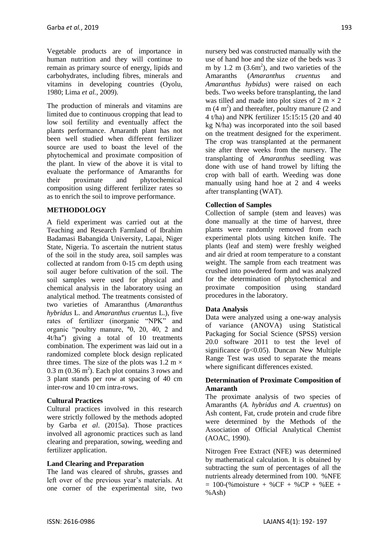Vegetable products are of importance in human nutrition and they will continue to remain as primary source of energy, lipids and carbohydrates, including fibres, minerals and vitamins in developing countries (Oyolu, 1980; Lima *et al.,* 2009).

The production of minerals and vitamins are limited due to continuous cropping that lead to low soil fertility and eventually affect the plants performance. Amaranth plant has not been well studied when different fertilizer source are used to boast the level of the phytochemical and proximate composition of the plant. In view of the above it is vital to evaluate the performance of Amaranths for their proximate and phytochemical composition using different fertilizer rates so as to enrich the soil to improve performance.

# **METHODOLOGY**

A field experiment was carried out at the Teaching and Research Farmland of Ibrahim Badamasi Babangida University, Lapai, Niger State, Nigeria. To ascertain the nutrient status of the soil in the study area, soil samples was collected at random from 0-15 cm depth using soil auger before cultivation of the soil. The soil samples were used for physical and chemical analysis in the laboratory using an analytical method. The treatments consisted of two varieties of Amaranthus (*Amaranthus hybridus* L. and *Amaranthus cruentus* L.), five rates of fertilizer (inorganic "NPK" and organic "poultry manure, "0, 20, 40, 2 and 4t/haʺ) giving a total of 10 treatments combination. The experiment was laid out in a randomized complete block design replicated three times. The size of the plots was  $1.2 \text{ m} \times$  $0.3$  m  $(0.36 \text{ m}^2)$ . Each plot contains 3 rows and 3 plant stands per row at spacing of 40 cm inter-row and 10 cm intra-rows.

# **Cultural Practices**

Cultural practices involved in this research were strictly followed by the methods adopted by Garba *et al*. (2015a). Those practices involved all agronomic practices such as land clearing and preparation, sowing, weeding and fertilizer application.

# **Land Clearing and Preparation**

The land was cleared of shrubs, grasses and left over of the previous year's materials. At one corner of the experimental site, two nursery bed was constructed manually with the use of hand hoe and the size of the beds was 3 m by 1.2 m  $(3.6m^2)$ , and two varieties of the Amaranths (*Amaranthus cruentus* and *Amaranthus hybidus*) were raised on each beds. Two weeks before transplanting, the land was tilled and made into plot sizes of  $2 \text{ m} \times 2$  $m(4 m<sup>2</sup>)$  and thereafter, poultry manure (2 and 4 t/ha) and NPK fertilizer 15:15:15 (20 and 40 kg N/ha) was incorporated into the soil based on the treatment designed for the experiment. The crop was transplanted at the permanent site after three weeks from the nursery. The transplanting of *Amaranthus* seedling was done with use of hand trowel by lifting the crop with ball of earth. Weeding was done manually using hand hoe at 2 and 4 weeks after transplanting (WAT).

# **Collection of Samples**

Collection of sample (stem and leaves) was done manually at the time of harvest, three plants were randomly removed from each experimental plots using kitchen knife. The plants (leaf and stem) were freshly weighed and air dried at room temperature to a constant weight. The sample from each treatment was crushed into powdered form and was analyzed for the determination of phytochemical and proximate composition using standard procedures in the laboratory.

# **Data Analysis**

Data were analyzed using a one-way analysis of variance (ANOVA) using Statistical Packaging for Social Science (SPSS) version 20.0 software 2011 to test the level of significance ( $p<0.05$ ). Duncan New Multiple Range Test was used to separate the means where significant differences existed.

## **Determination of Proximate Composition of Amaranth**

The proximate analysis of two species of Amaranths (*A. hybridus and A. cruentus*) on Ash content, Fat, crude protein and crude fibre were determined by the Methods of the Association of Official Analytical Chemist (AOAC, 1990).

Nitrogen Free Extract (NFE) was determined by mathematical calculation. It is obtained by subtracting the sum of percentages of all the nutrients already determined from 100. %NFE  $= 100-(\% \text{ moisture} + \% \text{CF} + \% \text{CP} + \% \text{EE} +$ %Ash)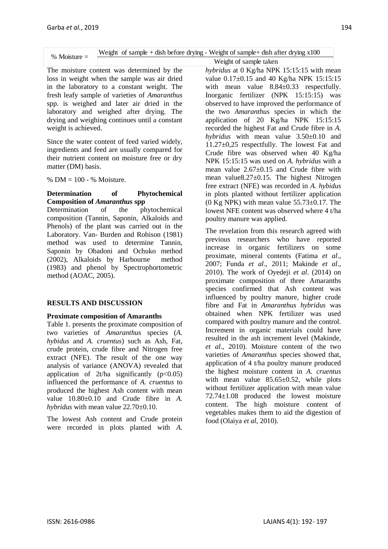| $%$ Moisture $=$ |  | Weight of sample $+$ dish before drying - Weight of sample $+$ dish after drying $x100$ |  |  |  |
|------------------|--|-----------------------------------------------------------------------------------------|--|--|--|
|                  |  |                                                                                         |  |  |  |

The moisture content was determined by the loss in weight when the sample was air dried in the laboratory to a constant weight. The fresh leafy sample of varieties of *Amaranthus* spp. is weighed and later air dried in the laboratory and weighed after drying. The drying and weighing continues until a constant weight is achieved.

Since the water content of feed varied widely, ingredients and feed are usually compared for their nutrient content on moisture free or dry matter (DM) basis.

%  $DM = 100 - %$  Moisture.

## **Determination of Phytochemical Composition of** *Amaranthus* **spp**

Determination of the phytochemical composition (Tannin, Saponin, Alkaloids and Phenols) of the plant was carried out in the Laboratory. Van- Burden and Robison (1981) method was used to determine Tannin, Saponin by Obadoni and Ochuko method (2002), Alkaloids by Harbourne method (1983) and phenol by Spectrophortometric method (AOAC, 2005).

# **RESULTS AND DISCUSSION**

# **Proximate composition of Amaranths**

Table 1. presents the proximate composition of two varieties of *Amaranthus* species (*A. hybidus* and *A. cruentus*) such as Ash, Fat, crude protein, crude fibre and Nitrogen free extract (NFE). The result of the one way analysis of variance (ANOVA) revealed that application of  $2t/ha$  significantly ( $p < 0.05$ ) influenced the performance of *A. cruentus* to produced the highest Ash content with mean value 10.80±0.10 and Crude fibre in *A. hybridus* with mean value 22.70±0.10.

The lowest Ash content and Crude protein were recorded in plots planted with *A.*  *hybridus* at 0 Kg/ha NPK 15:15:15 with mean value  $0.17\pm0.15$  and 40 Kg/ha NPK 15:15:15 with mean value  $8.84 \pm 0.33$  respectfully. Inorganic fertilizer (NPK 15:15:15) was observed to have improved the performance of the two *Amaranthus* species in which the application of 20 Kg/ha NPK 15:15:15 recorded the highest Fat and Crude fibre in *A*. *hybridus* with mean value 3.50±0.10 and 11.27±0,25 respectfully. The lowest Fat and Crude fibre was observed when 40 Kg/ha NPK 15:15:15 was used on *A. hybridus* with a mean value  $2.67 \pm 0.15$  and Crude fibre with mean value8.27±0.15. The highest Nitrogen free extract (NFE) was recorded in *A. hybidus* in plots planted without fertilizer application (0 Kg NPK) with mean value  $55.73\pm0.17$ . The lowest NFE content was observed where 4 t/ha poultry manure was applied. Weight of sample taken

The revelation from this research agreed with previous researchers who have reported increase in organic fertilizers on some proximate, mineral contents [\(Fatima](http://scialert.net/fulltext/?doi=ajps.2015.34.39#560499_ja) *et al*., [2007;](http://scialert.net/fulltext/?doi=ajps.2015.34.39#560499_ja) Funda *et al*[., 2011;](http://scialert.net/fulltext/?doi=ajps.2015.34.39#1313683_ja) [Makinde](http://scialert.net/fulltext/?doi=ajps.2015.34.39#535294_ja) *et al*., [2010\)](http://scialert.net/fulltext/?doi=ajps.2015.34.39#535294_ja). The work of Oyedeji *et al*. (2014) on proximate composition of three Amaranths species confirmed that Ash content was influenced by poultry manure, higher crude fibre and Fat in *Amaranthus hybridus* was obtained when NPK fertilizer was used compared with poultry manure and the control. Increment in organic materials could have resulted in the ash increment level (Makinde, *et al*., 2010). Moisture content of the two varieties of *Amaranthus* species showed that, application of 4 t/ha poultry manure produced the highest moisture content in *A. cruentus* with mean value  $85.65 \pm 0.52$ , while plots without fertilizer application with mean value 72.74±1.08 produced the lowest moisture content. The high moisture content of vegetables makes them to aid the digestion of food (Olaiya *et al,* 2010).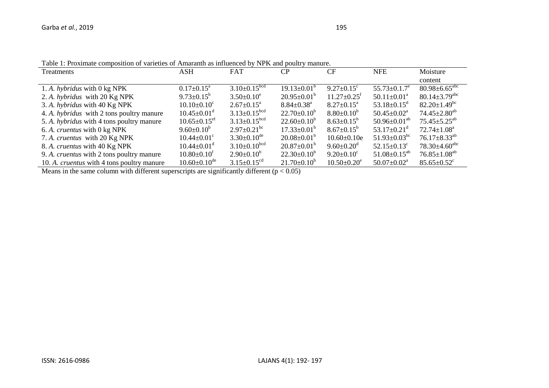| $\alpha$ , which is a manifestion of introduced $\alpha$ , i.e. it will possibly internet |                                |                                |                              |                               |                                |                                 |  |
|-------------------------------------------------------------------------------------------|--------------------------------|--------------------------------|------------------------------|-------------------------------|--------------------------------|---------------------------------|--|
| Treatments                                                                                | ASH                            | <b>FAT</b>                     | CP                           | CF                            | <b>NFE</b>                     | Moisture                        |  |
|                                                                                           |                                |                                |                              |                               |                                | content                         |  |
| 1. A. hybridus with 0 kg NPK                                                              | $0.17 \pm 0.15^{\text{a}}$     | $3.10 \pm 0.15^{bcd}$          | $19.13 \pm 0.01^{\circ}$     | $9.27 \pm 0.15$ <sup>c</sup>  | $55.73 \pm 0.1.7^e$            | $80.98 \pm 6.65$ <sup>abc</sup> |  |
| 2. A. hybridus with 20 Kg NPK                                                             | $9.73 \pm 0.15^b$              | $3.50 \pm 0.10^e$              | $20.95 \pm 0.01^{\circ}$     | $11.27 \pm 0.25$ <sup>f</sup> | $50.11 \pm 0.01^{\text{a}}$    | $80.14 \pm 3.79$ <sup>abc</sup> |  |
| 3. A. hybridus with 40 Kg NPK                                                             | $10.10 \pm 0.10^c$             | $2.67 \pm 0.15^{\text{a}}$     | $8.84 \pm 0.38$ <sup>a</sup> | $8.27 \pm 0.15^{\text{a}}$    | 53.18 $\pm$ 0.15 <sup>d</sup>  | $82.20 \pm 1.49$ <sup>bc</sup>  |  |
| 4. A. hybridus with 2 tons poultry manure                                                 | $10.45 \pm 0.01$ <sup>d</sup>  | $3.13 \pm 0.15^{bcd}$          | $22.70 \pm 0.10^b$           | $8.80 \pm 0.10^b$             | $50.45 \pm 0.02^{\text{a}}$    | $74.45 \pm 2.80^{ab}$           |  |
| 5. A. <i>hybridus</i> with 4 tons poultry manure                                          | $10.65 \pm 0.15$ <sup>ef</sup> | $3.13 \pm 0.15$ <sup>bcd</sup> | $22.60 \pm 0.10^b$           | $8.63 \pm 0.15^b$             | $50.96 \pm 0.01^{ab}$          | $75.45 \pm 5.25$ <sup>ab</sup>  |  |
| 6. A. cruentus with 0 kg NPK                                                              | $9.60 \pm 0.10^b$              | $2.97 \pm 0.21$ <sup>bc</sup>  | $17.33 \pm 0.01^{\rm b}$     | $8.67 \pm 0.15^b$             | 53.17 $\pm$ 0.21 <sup>d</sup>  | $72.74 \pm 1.08^a$              |  |
| 7. A. cruentus with 20 Kg NPK                                                             | $10.44 \pm 0.01$ <sup>c</sup>  | $3.30\pm0.10^{de}$             | $20.08 \pm 0.01^{\circ}$     | $10.60 \pm 0.10e$             | $51.93 \pm 0.03$ <sup>bc</sup> | $76.17 \pm 8.33^{ab}$           |  |
| 8. A. cruentus with 40 Kg NPK                                                             | $10.44 \pm 0.01$ <sup>d</sup>  | $3.10 \pm 0.10^{bcd}$          | $20.87 \pm 0.01^{\circ}$     | $9.60 \pm 0.20^{\rm d}$       | $52.15 \pm 0.13$ <sup>c</sup>  | $78.30\pm4.60^{\text{abc}}$     |  |
| 9. A. <i>cruentus</i> with 2 tons poultry manure                                          | $10.80 \pm 0.10^t$             | $2.90\pm0.10^b$                | $22.30\pm0.10^b$             | $9.20 \pm 0.10^c$             | $51.08 \pm 0.15^{ab}$          | $76.85 \pm 1.08^{ab}$           |  |
| 10. A. <i>cruentus</i> with 4 tons poultry manure                                         | $10.60 \pm 0.10$ <sup>de</sup> | $3.15 \pm 0.15$ <sup>cd</sup>  | $21.70 \pm 0.10^b$           | $10.50 \pm 0.20^e$            | $50.07 \pm 0.02^{\text{a}}$    | $85.65 \pm 0.52$ <sup>c</sup>   |  |

Table 1: Proximate composition of varieties of Amaranth as influenced by NPK and poultry manure.

Means in the same column with different superscripts are significantly different ( $p < 0.05$ )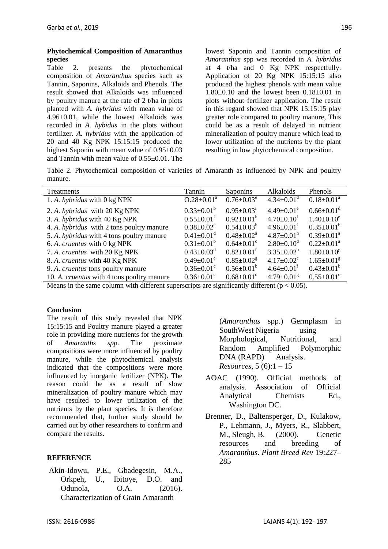#### **Phytochemical Composition of Amaranthus species**

Table 2. presents the phytochemical composition of *Amaranthus* species such as Tannin, Saponins, Alkaloids and Phenols. The result showed that Alkaloids was influenced by poultry manure at the rate of 2 t/ha in plots planted with *A. hybridus* with mean value of 4.96±0.01, while the lowest Alkaloids was recorded in *A. hybidus* in the plots without fertilizer. *A. hybridus* with the application of 20 and 40 Kg NPK 15:15:15 produced the highest Saponin with mean value of  $0.95\pm0.03$ and Tannin with mean value of 0.55±0.01. The

lowest Saponin and Tannin composition of *Amaranthus* spp was recorded in *A. hybridus* at 4 t/ha and 0 Kg NPK respectfully. Application of 20 Kg NPK 15:15:15 also produced the highest phenols with mean value 1.80±0.10 and the lowest been 0.18±0.01 in plots without fertilizer application. The result in this regard showed that NPK 15:15:15 play greater role compared to poultry manure, This could be as a result of delayed in nutrient mineralization of poultry manure which lead to lower utilization of the nutrients by the plant resulting in low phytochemical composition.

Table 2. Phytochemical composition of varieties of Amaranth as influenced by NPK and poultry manure.

| Treatments                                        | Tannin                       | Saponins                     | Alkaloids                    | Phenols                       |
|---------------------------------------------------|------------------------------|------------------------------|------------------------------|-------------------------------|
| 1. A. hybridus with 0 kg NPK                      | $O.28 \pm 0.01^a$            | $0.76 \pm 0.03^e$            | $4.34 \pm 0.01$ <sup>d</sup> | $0.18 \pm 0.01^a$             |
| 2. A. hybridus with 20 Kg NPK                     | $0.33 \pm 0.01^b$            | $0.95 \pm 0.03^{\mathrm{i}}$ | $4.49 \pm 0.01^e$            | $0.66 \pm 0.01$ <sup>d</sup>  |
| 3. A. hybridus with 40 Kg NPK                     | $0.55 \pm 0.01$ <sup>f</sup> | $0.92 \pm 0.01^{\rm h}$      | $4.70 \pm 0.10^f$            | $1.40 \pm 0.10^e$             |
| 4. A. <i>hybridus</i> with 2 tons poultry manure  | $0.38 \pm 0.02$ <sup>c</sup> | $0.54 \pm 0.03^b$            | $4.96 \pm 0.01^{\text{i}}$   | $0.35 \pm 0.01^b$             |
| 5. A. <i>hybridus</i> with 4 tons poultry manure  | $0.41 \pm 0.01$ <sup>d</sup> | $0.48 \pm 0.02^{\text{a}}$   | $4.87 \pm 0.01^{\rm h}$      | $0.39 \pm 0.01^a$             |
| 6. A. cruentus with 0 kg NPK                      | $0.31 \pm 0.01^b$            | $0.64 \pm 0.01$ <sup>c</sup> | $2.80 \pm 0.10^{\circ}$      | $0.22 \pm 0.01^a$             |
| 7. A. cruentus with 20 Kg NPK                     | $0.43 \pm 0.03$ <sup>d</sup> | $0.82 \pm 0.01$ <sup>f</sup> | $3.35 \pm 0.02^b$            | $1.80 \pm 0.10^8$             |
| 8. A. cruentus with 40 Kg NPK                     | $0.49 \pm 0.01^e$            | $0.85 \pm 0.02$ <sup>g</sup> | $4.17 \pm 0.02$ <sup>c</sup> | $1.65 \pm 0.01$ <sup>g</sup>  |
| 9. A. cruentus tons poultry manure                | $0.36 \pm 0.01$ <sup>c</sup> | $0.56 \pm 0.01^{\circ}$      | $4.64 \pm 0.01$ <sup>t</sup> | $0.43 \pm 0.01^b$             |
| 10. A. <i>cruentus</i> with 4 tons poultry manure | $0.36 \pm 0.01$ <sup>c</sup> | $0.68 \pm 0.01$ <sup>d</sup> | $4.79 \pm 0.01$ <sup>g</sup> | $0.55 \pm 0.01$ <sup>c-</sup> |

Means in the same column with different superscripts are significantly different ( $p < 0.05$ ).

## **Conclusion**

The result of this study revealed that NPK 15:15:15 and Poultry manure played a greater role in providing more nutrients for the growth of *Amaranths spp.* The proximate compositions were more influenced by poultry manure, while the phytochemical analysis indicated that the compositions were more influenced by inorganic fertilizer (NPK). The reason could be as a result of slow mineralization of poultry manure which may have resulted to lower utilization of the nutrients by the plant species. It is therefore recommended that, further study should be carried out by other researchers to confirm and compare the results.

# **REFERENCE**

Akin-Idowu, P.E., Gbadegesin, M.A., Orkpeh, U., Ibitoye, D.O. and Odunola, O.A. (2016). Characterization of Grain Amaranth

(*Amaranthus* spp.) Germplasm in SouthWest Nigeria using Morphological, Nutritional, and Random Amplified Polymorphic DNA (RAPD) Analysis. *Resources*, 5 (6):1 – 15

- AOAC (1990). Official methods of analysis. Association of Official Analytical Chemists Ed., Washington DC.
- Brenner, D., Baltensperger, D., Kulakow, P., Lehmann, J., Myers, R., Slabbert, M., Sleugh, B. (2000). Genetic resources and breeding of *Amaranthus*. *Plant Breed Rev* 19:227– 285